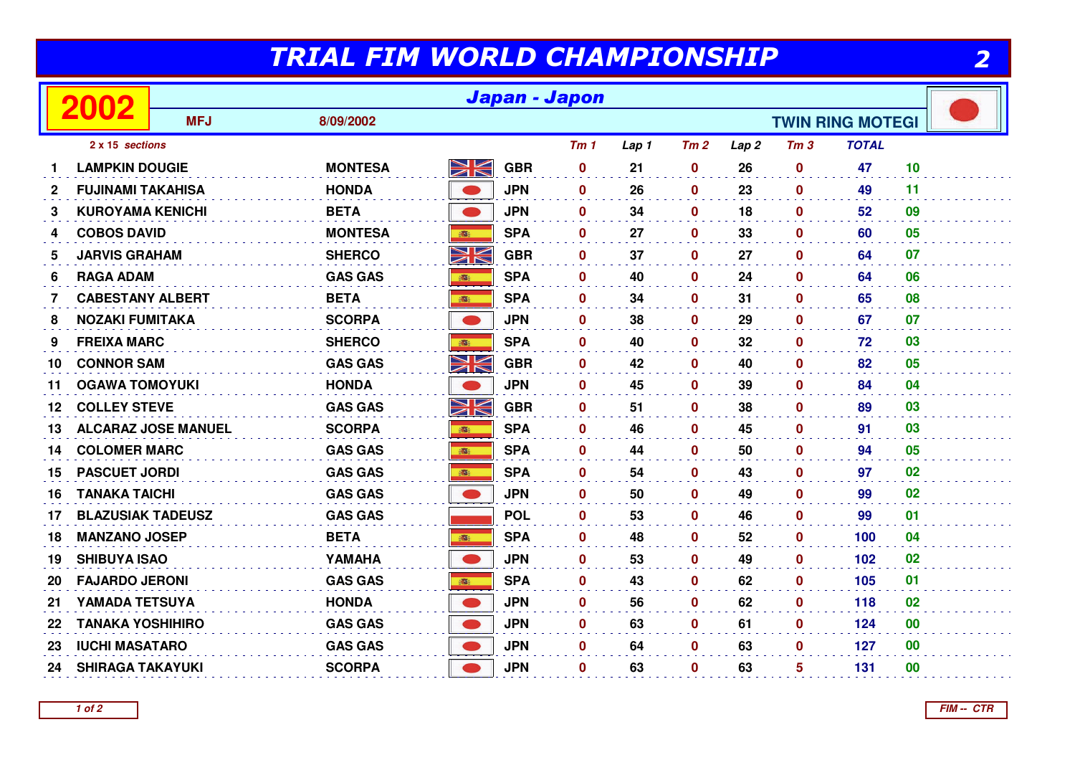## TRIAL FIM WORLD CHAMPIONSHIP

|                 | <b>2002</b>                | Japan - Japon |                |                         |            |              |       |              |                  |                 |              |           |  |
|-----------------|----------------------------|---------------|----------------|-------------------------|------------|--------------|-------|--------------|------------------|-----------------|--------------|-----------|--|
|                 |                            | <b>MFJ</b>    | 8/09/2002      | <b>TWIN RING MOTEGI</b> |            |              |       |              |                  |                 |              |           |  |
| 2 x 15 sections |                            |               |                |                         |            | Tm1          | Lap 1 | Tm2          | Lap <sub>2</sub> | Tm <sub>3</sub> | <b>TOTAL</b> |           |  |
|                 | <b>LAMPKIN DOUGIE</b>      |               | <b>MONTESA</b> | NK                      | <b>GBR</b> | $\mathbf 0$  | 21    | $\mathbf 0$  | 26               | $\mathbf 0$     | 47           | 10        |  |
| $\mathbf{2}$    | <b>FUJINAMI TAKAHISA</b>   |               | <b>HONDA</b>   |                         | <b>JPN</b> | $\mathbf 0$  | 26    | $\mathbf 0$  | 23               | $\mathbf 0$     | 49           | 11        |  |
| 3               | <b>KUROYAMA KENICHI</b>    |               | <b>BETA</b>    |                         | <b>JPN</b> | $\mathbf{0}$ | 34    | $\mathbf 0$  | 18               | 0               | 52           | 09        |  |
| 4               | <b>COBOS DAVID</b>         |               | <b>MONTESA</b> | <b>B</b>                | <b>SPA</b> | $\mathbf 0$  | 27    | $\mathbf 0$  | 33               | $\mathbf 0$     | 60           | 05        |  |
| 5               | <b>JARVIS GRAHAM</b>       |               | <b>SHERCO</b>  | XK                      | <b>GBR</b> | $\mathbf 0$  | 37    | $\bf{0}$     | 27               | $\mathbf 0$     | 64           | 07        |  |
| 6               | <b>RAGA ADAM</b>           |               | <b>GAS GAS</b> | 高                       | <b>SPA</b> | $\mathbf 0$  | 40    | $\mathbf{0}$ | 24               | $\mathbf{0}$    | 64           | 06        |  |
| 7               | <b>CABESTANY ALBERT</b>    |               | <b>BETA</b>    | <b>BEE</b>              | <b>SPA</b> | $\mathbf{0}$ | 34    | $\mathbf 0$  | 31               | $\mathbf{0}$    | 65           | 08        |  |
| 8               | <b>NOZAKI FUMITAKA</b>     |               | <b>SCORPA</b>  |                         | <b>JPN</b> | $\mathbf 0$  | 38    | $\mathbf 0$  | 29               | $\mathbf 0$     | 67           | 07        |  |
| 9               | <b>FREIXA MARC</b>         |               | <b>SHERCO</b>  | <b>B</b>                | <b>SPA</b> | $\mathbf 0$  | 40    | $\mathbf 0$  | 32               | $\mathbf 0$     | 72           | 03        |  |
| 10              | <b>CONNOR SAM</b>          |               | <b>GAS GAS</b> | NK                      | <b>GBR</b> | $\mathbf{0}$ | 42    | $\mathbf 0$  | 40               | 0               | 82           | 05        |  |
| 11              | <b>OGAWA TOMOYUKI</b>      |               | <b>HONDA</b>   |                         | <b>JPN</b> | $\mathbf 0$  | 45    | $\mathbf 0$  | 39               | $\mathbf{0}$    | 84           | 04        |  |
| 12              | <b>COLLEY STEVE</b>        |               | <b>GAS GAS</b> | XK                      | <b>GBR</b> | 0            | 51    | $\mathbf 0$  | 38               | $\mathbf 0$     | 89           | 03        |  |
| 13              | <b>ALCARAZ JOSE MANUEL</b> |               | <b>SCORPA</b>  | <b>BEE</b>              | <b>SPA</b> | $\mathbf{0}$ | 46    | $\bf{0}$     | 45               | $\mathbf 0$     | 91           | 03        |  |
| 14              | <b>COLOMER MARC</b>        |               | <b>GAS GAS</b> |                         | <b>SPA</b> | $\mathbf 0$  | 44    | $\mathbf 0$  | 50               | $\mathbf 0$     | 94           | 05        |  |
| 15              | <b>PASCUET JORDI</b>       |               | <b>GAS GAS</b> | $\mathbb{R}$            | <b>SPA</b> | $\mathbf{0}$ | 54    | $\mathbf 0$  | 43               | 0               | 97           | 02        |  |
| 16              | <b>TANAKA TAICHI</b>       |               | <b>GAS GAS</b> |                         | <b>JPN</b> | $\mathbf 0$  | 50    | $\mathbf 0$  | 49               | $\mathbf 0$     | 99           | 02        |  |
| 17              | <b>BLAZUSIAK TADEUSZ</b>   |               | <b>GAS GAS</b> |                         | <b>POL</b> | $\mathbf{0}$ | 53    | $\mathbf{0}$ | 46               | $\mathbf 0$     | 99           | 01        |  |
| 18              | <b>MANZANO JOSEP</b>       |               | <b>BETA</b>    | 高                       | <b>SPA</b> | $\mathbf 0$  | 48    | 0            | 52               | $\mathbf{0}$    | 100          | 04        |  |
| 19              | <b>SHIBUYA ISAO</b>        |               | YAMAHA         |                         | <b>JPN</b> | $\mathbf{0}$ | 53    | $\mathbf{0}$ | 49               | 0               | 102          | 02        |  |
| 20              | <b>FAJARDO JERONI</b>      |               | <b>GAS GAS</b> | 高                       | <b>SPA</b> | $\mathbf{0}$ | 43    | $\mathbf 0$  | 62               | 0               | 105          | 01        |  |
| 21              | YAMADA TETSUYA             |               | <b>HONDA</b>   |                         | <b>JPN</b> | $\mathbf{0}$ | 56    | $\mathbf 0$  | 62               | 0               | 118          | 02        |  |
| 22              | <b>TANAKA YOSHIHIRO</b>    |               | <b>GAS GAS</b> |                         | <b>JPN</b> | $\mathbf 0$  | 63    | 0            | 61               | 0               | 124          | $\bf{00}$ |  |
| 23              | <b>IUCHI MASATARO</b>      |               | <b>GAS GAS</b> |                         | <b>JPN</b> | $\mathbf 0$  | 64    | $\mathbf 0$  | 63               | 0               | 127          | $\bf{00}$ |  |
| 24              | <b>SHIRAGA TAKAYUKI</b>    |               | <b>SCORPA</b>  |                         | <b>JPN</b> | 0            | 63    | $\mathbf 0$  | 63               | 5               | 131          | 00        |  |

2